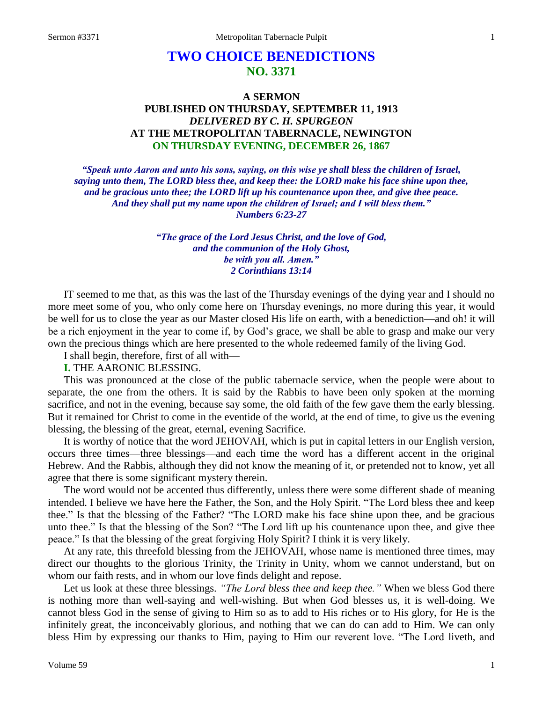# **TWO CHOICE BENEDICTIONS NO. 3371**

# **A SERMON PUBLISHED ON THURSDAY, SEPTEMBER 11, 1913** *DELIVERED BY C. H. SPURGEON* **AT THE METROPOLITAN TABERNACLE, NEWINGTON ON THURSDAY EVENING, DECEMBER 26, 1867**

*"Speak unto Aaron and unto his sons, saying, on this wise ye shall bless the children of Israel, saying unto them, The LORD bless thee, and keep thee: the LORD make his face shine upon thee, and be gracious unto thee; the LORD lift up his countenance upon thee, and give thee peace. And they shall put my name upon the children of Israel; and I will bless them." Numbers 6:23-27*

> *"The grace of the Lord Jesus Christ, and the love of God, and the communion of the Holy Ghost, be with you all. Amen." 2 Corinthians 13:14*

IT seemed to me that, as this was the last of the Thursday evenings of the dying year and I should no more meet some of you, who only come here on Thursday evenings, no more during this year, it would be well for us to close the year as our Master closed His life on earth, with a benediction—and oh! it will be a rich enjoyment in the year to come if, by God's grace, we shall be able to grasp and make our very own the precious things which are here presented to the whole redeemed family of the living God.

I shall begin, therefore, first of all with—

### **I.** THE AARONIC BLESSING.

This was pronounced at the close of the public tabernacle service, when the people were about to separate, the one from the others. It is said by the Rabbis to have been only spoken at the morning sacrifice, and not in the evening, because say some, the old faith of the few gave them the early blessing. But it remained for Christ to come in the eventide of the world, at the end of time, to give us the evening blessing, the blessing of the great, eternal, evening Sacrifice.

It is worthy of notice that the word JEHOVAH, which is put in capital letters in our English version, occurs three times—three blessings—and each time the word has a different accent in the original Hebrew. And the Rabbis, although they did not know the meaning of it, or pretended not to know, yet all agree that there is some significant mystery therein.

The word would not be accented thus differently, unless there were some different shade of meaning intended. I believe we have here the Father, the Son, and the Holy Spirit. "The Lord bless thee and keep thee." Is that the blessing of the Father? "The LORD make his face shine upon thee, and be gracious unto thee." Is that the blessing of the Son? "The Lord lift up his countenance upon thee, and give thee peace." Is that the blessing of the great forgiving Holy Spirit? I think it is very likely.

At any rate, this threefold blessing from the JEHOVAH, whose name is mentioned three times, may direct our thoughts to the glorious Trinity, the Trinity in Unity, whom we cannot understand, but on whom our faith rests, and in whom our love finds delight and repose.

Let us look at these three blessings. *"The Lord bless thee and keep thee."* When we bless God there is nothing more than well-saying and well-wishing. But when God blesses us, it is well-doing. We cannot bless God in the sense of giving to Him so as to add to His riches or to His glory, for He is the infinitely great, the inconceivably glorious, and nothing that we can do can add to Him. We can only bless Him by expressing our thanks to Him, paying to Him our reverent love. "The Lord liveth, and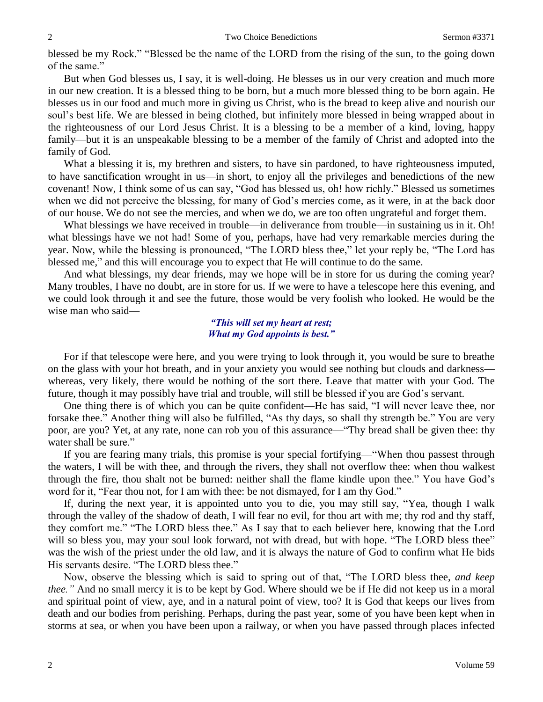blessed be my Rock." "Blessed be the name of the LORD from the rising of the sun, to the going down of the same."

But when God blesses us, I say, it is well-doing. He blesses us in our very creation and much more in our new creation. It is a blessed thing to be born, but a much more blessed thing to be born again. He blesses us in our food and much more in giving us Christ, who is the bread to keep alive and nourish our soul's best life. We are blessed in being clothed, but infinitely more blessed in being wrapped about in the righteousness of our Lord Jesus Christ. It is a blessing to be a member of a kind, loving, happy family—but it is an unspeakable blessing to be a member of the family of Christ and adopted into the family of God.

What a blessing it is, my brethren and sisters, to have sin pardoned, to have righteousness imputed, to have sanctification wrought in us—in short, to enjoy all the privileges and benedictions of the new covenant! Now, I think some of us can say, "God has blessed us, oh! how richly." Blessed us sometimes when we did not perceive the blessing, for many of God's mercies come, as it were, in at the back door of our house. We do not see the mercies, and when we do, we are too often ungrateful and forget them.

What blessings we have received in trouble—in deliverance from trouble—in sustaining us in it. Oh! what blessings have we not had! Some of you, perhaps, have had very remarkable mercies during the year. Now, while the blessing is pronounced, "The LORD bless thee," let your reply be, "The Lord has blessed me," and this will encourage you to expect that He will continue to do the same.

And what blessings, my dear friends, may we hope will be in store for us during the coming year? Many troubles, I have no doubt, are in store for us. If we were to have a telescope here this evening, and we could look through it and see the future, those would be very foolish who looked. He would be the wise man who said—

#### *"This will set my heart at rest; What my God appoints is best."*

For if that telescope were here, and you were trying to look through it, you would be sure to breathe on the glass with your hot breath, and in your anxiety you would see nothing but clouds and darkness whereas, very likely, there would be nothing of the sort there. Leave that matter with your God. The future, though it may possibly have trial and trouble, will still be blessed if you are God's servant.

One thing there is of which you can be quite confident—He has said, "I will never leave thee, nor forsake thee." Another thing will also be fulfilled, "As thy days, so shall thy strength be." You are very poor, are you? Yet, at any rate, none can rob you of this assurance—"Thy bread shall be given thee: thy water shall be sure."

If you are fearing many trials, this promise is your special fortifying—"When thou passest through the waters, I will be with thee, and through the rivers, they shall not overflow thee: when thou walkest through the fire, thou shalt not be burned: neither shall the flame kindle upon thee." You have God's word for it, "Fear thou not, for I am with thee: be not dismayed, for I am thy God."

If, during the next year, it is appointed unto you to die, you may still say, "Yea, though I walk through the valley of the shadow of death, I will fear no evil, for thou art with me; thy rod and thy staff, they comfort me." "The LORD bless thee." As I say that to each believer here, knowing that the Lord will so bless you, may your soul look forward, not with dread, but with hope. "The LORD bless thee" was the wish of the priest under the old law, and it is always the nature of God to confirm what He bids His servants desire. "The LORD bless thee."

Now, observe the blessing which is said to spring out of that, "The LORD bless thee, *and keep thee."* And no small mercy it is to be kept by God. Where should we be if He did not keep us in a moral and spiritual point of view, aye, and in a natural point of view, too? It is God that keeps our lives from death and our bodies from perishing. Perhaps, during the past year, some of you have been kept when in storms at sea, or when you have been upon a railway, or when you have passed through places infected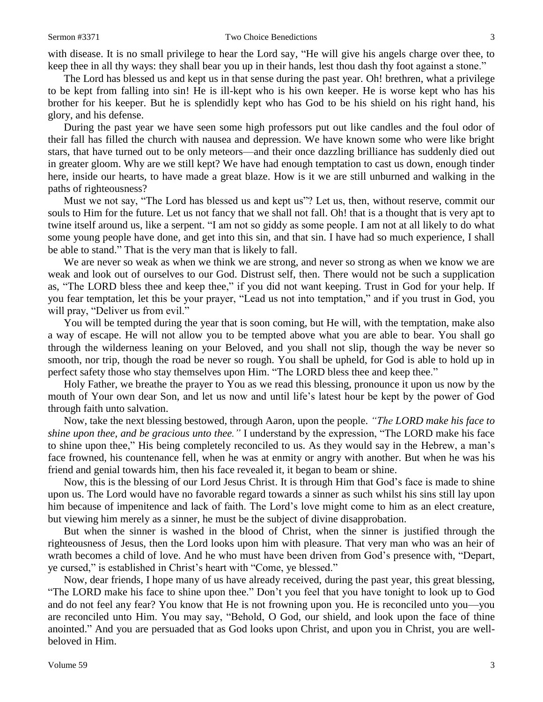with disease. It is no small privilege to hear the Lord say, "He will give his angels charge over thee, to keep thee in all thy ways: they shall bear you up in their hands, lest thou dash thy foot against a stone."

The Lord has blessed us and kept us in that sense during the past year. Oh! brethren, what a privilege to be kept from falling into sin! He is ill-kept who is his own keeper. He is worse kept who has his brother for his keeper. But he is splendidly kept who has God to be his shield on his right hand, his glory, and his defense.

During the past year we have seen some high professors put out like candles and the foul odor of their fall has filled the church with nausea and depression. We have known some who were like bright stars, that have turned out to be only meteors—and their once dazzling brilliance has suddenly died out in greater gloom. Why are we still kept? We have had enough temptation to cast us down, enough tinder here, inside our hearts, to have made a great blaze. How is it we are still unburned and walking in the paths of righteousness?

Must we not say, "The Lord has blessed us and kept us"? Let us, then, without reserve, commit our souls to Him for the future. Let us not fancy that we shall not fall. Oh! that is a thought that is very apt to twine itself around us, like a serpent. "I am not so giddy as some people. I am not at all likely to do what some young people have done, and get into this sin, and that sin. I have had so much experience, I shall be able to stand." That is the very man that is likely to fall.

We are never so weak as when we think we are strong, and never so strong as when we know we are weak and look out of ourselves to our God. Distrust self, then. There would not be such a supplication as, "The LORD bless thee and keep thee," if you did not want keeping. Trust in God for your help. If you fear temptation, let this be your prayer, "Lead us not into temptation," and if you trust in God, you will pray, "Deliver us from evil."

You will be tempted during the year that is soon coming, but He will, with the temptation, make also a way of escape. He will not allow you to be tempted above what you are able to bear. You shall go through the wilderness leaning on your Beloved, and you shall not slip, though the way be never so smooth, nor trip, though the road be never so rough. You shall be upheld, for God is able to hold up in perfect safety those who stay themselves upon Him. "The LORD bless thee and keep thee."

Holy Father, we breathe the prayer to You as we read this blessing, pronounce it upon us now by the mouth of Your own dear Son, and let us now and until life's latest hour be kept by the power of God through faith unto salvation.

Now, take the next blessing bestowed, through Aaron, upon the people. *"The LORD make his face to shine upon thee, and be gracious unto thee."* I understand by the expression, "The LORD make his face to shine upon thee," His being completely reconciled to us. As they would say in the Hebrew, a man's face frowned, his countenance fell, when he was at enmity or angry with another. But when he was his friend and genial towards him, then his face revealed it, it began to beam or shine.

Now, this is the blessing of our Lord Jesus Christ. It is through Him that God's face is made to shine upon us. The Lord would have no favorable regard towards a sinner as such whilst his sins still lay upon him because of impenitence and lack of faith. The Lord's love might come to him as an elect creature, but viewing him merely as a sinner, he must be the subject of divine disapprobation.

But when the sinner is washed in the blood of Christ, when the sinner is justified through the righteousness of Jesus, then the Lord looks upon him with pleasure. That very man who was an heir of wrath becomes a child of love. And he who must have been driven from God's presence with, "Depart, ye cursed," is established in Christ's heart with "Come, ye blessed."

Now, dear friends, I hope many of us have already received, during the past year, this great blessing, "The LORD make his face to shine upon thee." Don't you feel that you have tonight to look up to God and do not feel any fear? You know that He is not frowning upon you. He is reconciled unto you—you are reconciled unto Him. You may say, "Behold, O God, our shield, and look upon the face of thine anointed." And you are persuaded that as God looks upon Christ, and upon you in Christ, you are wellbeloved in Him.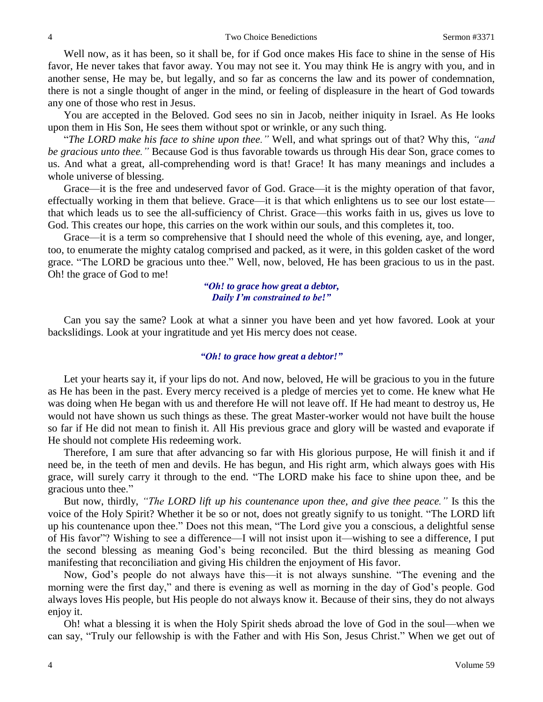Well now, as it has been, so it shall be, for if God once makes His face to shine in the sense of His favor, He never takes that favor away. You may not see it. You may think He is angry with you, and in another sense, He may be, but legally, and so far as concerns the law and its power of condemnation, there is not a single thought of anger in the mind, or feeling of displeasure in the heart of God towards any one of those who rest in Jesus.

You are accepted in the Beloved. God sees no sin in Jacob, neither iniquity in Israel. As He looks upon them in His Son, He sees them without spot or wrinkle, or any such thing.

"*The LORD make his face to shine upon thee."* Well, and what springs out of that? Why this, *"and be gracious unto thee."* Because God is thus favorable towards us through His dear Son, grace comes to us. And what a great, all-comprehending word is that! Grace! It has many meanings and includes a whole universe of blessing.

Grace—it is the free and undeserved favor of God. Grace—it is the mighty operation of that favor, effectually working in them that believe. Grace—it is that which enlightens us to see our lost estate that which leads us to see the all-sufficiency of Christ. Grace—this works faith in us, gives us love to God. This creates our hope, this carries on the work within our souls, and this completes it, too.

Grace—it is a term so comprehensive that I should need the whole of this evening, aye, and longer, too, to enumerate the mighty catalog comprised and packed, as it were, in this golden casket of the word grace. "The LORD be gracious unto thee." Well, now, beloved, He has been gracious to us in the past. Oh! the grace of God to me!

### *"Oh! to grace how great a debtor, Daily I'm constrained to be!"*

Can you say the same? Look at what a sinner you have been and yet how favored. Look at your backslidings. Look at your ingratitude and yet His mercy does not cease.

## *"Oh! to grace how great a debtor!"*

Let your hearts say it, if your lips do not. And now, beloved, He will be gracious to you in the future as He has been in the past. Every mercy received is a pledge of mercies yet to come. He knew what He was doing when He began with us and therefore He will not leave off. If He had meant to destroy us, He would not have shown us such things as these. The great Master-worker would not have built the house so far if He did not mean to finish it. All His previous grace and glory will be wasted and evaporate if He should not complete His redeeming work.

Therefore, I am sure that after advancing so far with His glorious purpose, He will finish it and if need be, in the teeth of men and devils. He has begun, and His right arm, which always goes with His grace, will surely carry it through to the end. "The LORD make his face to shine upon thee, and be gracious unto thee."

But now, thirdly, *"The LORD lift up his countenance upon thee, and give thee peace."* Is this the voice of the Holy Spirit? Whether it be so or not, does not greatly signify to us tonight. "The LORD lift up his countenance upon thee." Does not this mean, "The Lord give you a conscious, a delightful sense of His favor"? Wishing to see a difference—I will not insist upon it—wishing to see a difference, I put the second blessing as meaning God's being reconciled. But the third blessing as meaning God manifesting that reconciliation and giving His children the enjoyment of His favor.

Now, God's people do not always have this—it is not always sunshine. "The evening and the morning were the first day," and there is evening as well as morning in the day of God's people. God always loves His people, but His people do not always know it. Because of their sins, they do not always enjoy it.

Oh! what a blessing it is when the Holy Spirit sheds abroad the love of God in the soul—when we can say, "Truly our fellowship is with the Father and with His Son, Jesus Christ." When we get out of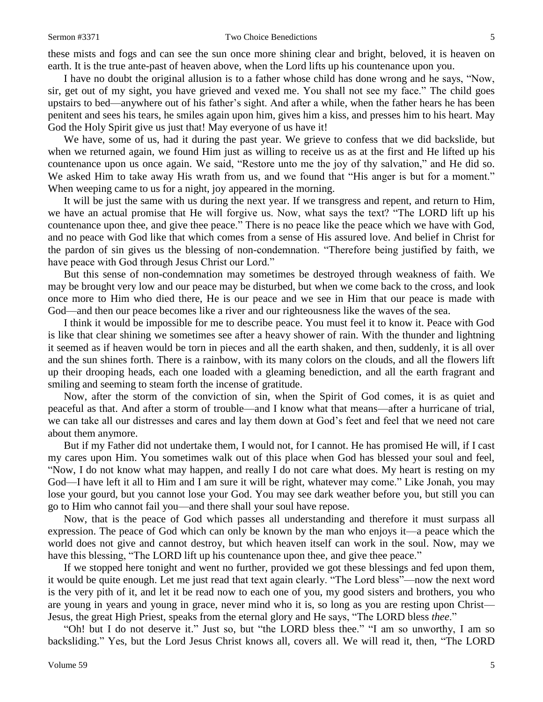these mists and fogs and can see the sun once more shining clear and bright, beloved, it is heaven on earth. It is the true ante-past of heaven above, when the Lord lifts up his countenance upon you.

I have no doubt the original allusion is to a father whose child has done wrong and he says, "Now, sir, get out of my sight, you have grieved and vexed me. You shall not see my face." The child goes upstairs to bed—anywhere out of his father's sight. And after a while, when the father hears he has been penitent and sees his tears, he smiles again upon him, gives him a kiss, and presses him to his heart. May God the Holy Spirit give us just that! May everyone of us have it!

We have, some of us, had it during the past year. We grieve to confess that we did backslide, but when we returned again, we found Him just as willing to receive us as at the first and He lifted up his countenance upon us once again. We said, "Restore unto me the joy of thy salvation," and He did so. We asked Him to take away His wrath from us, and we found that "His anger is but for a moment." When weeping came to us for a night, joy appeared in the morning.

It will be just the same with us during the next year. If we transgress and repent, and return to Him, we have an actual promise that He will forgive us. Now, what says the text? "The LORD lift up his countenance upon thee, and give thee peace." There is no peace like the peace which we have with God, and no peace with God like that which comes from a sense of His assured love. And belief in Christ for the pardon of sin gives us the blessing of non-condemnation. "Therefore being justified by faith, we have peace with God through Jesus Christ our Lord."

But this sense of non-condemnation may sometimes be destroyed through weakness of faith. We may be brought very low and our peace may be disturbed, but when we come back to the cross, and look once more to Him who died there, He is our peace and we see in Him that our peace is made with God—and then our peace becomes like a river and our righteousness like the waves of the sea.

I think it would be impossible for me to describe peace. You must feel it to know it. Peace with God is like that clear shining we sometimes see after a heavy shower of rain. With the thunder and lightning it seemed as if heaven would be torn in pieces and all the earth shaken, and then, suddenly, it is all over and the sun shines forth. There is a rainbow, with its many colors on the clouds, and all the flowers lift up their drooping heads, each one loaded with a gleaming benediction, and all the earth fragrant and smiling and seeming to steam forth the incense of gratitude.

Now, after the storm of the conviction of sin, when the Spirit of God comes, it is as quiet and peaceful as that. And after a storm of trouble—and I know what that means—after a hurricane of trial, we can take all our distresses and cares and lay them down at God's feet and feel that we need not care about them anymore.

But if my Father did not undertake them, I would not, for I cannot. He has promised He will, if I cast my cares upon Him. You sometimes walk out of this place when God has blessed your soul and feel, "Now, I do not know what may happen, and really I do not care what does. My heart is resting on my God—I have left it all to Him and I am sure it will be right, whatever may come." Like Jonah, you may lose your gourd, but you cannot lose your God. You may see dark weather before you, but still you can go to Him who cannot fail you—and there shall your soul have repose.

Now, that is the peace of God which passes all understanding and therefore it must surpass all expression. The peace of God which can only be known by the man who enjoys it—a peace which the world does not give and cannot destroy, but which heaven itself can work in the soul. Now, may we have this blessing, "The LORD lift up his countenance upon thee, and give thee peace."

If we stopped here tonight and went no further, provided we got these blessings and fed upon them, it would be quite enough. Let me just read that text again clearly. "The Lord bless"—now the next word is the very pith of it, and let it be read now to each one of you, my good sisters and brothers, you who are young in years and young in grace, never mind who it is, so long as you are resting upon Christ— Jesus, the great High Priest, speaks from the eternal glory and He says, "The LORD bless *thee*."

"Oh! but I do not deserve it." Just so, but "the LORD bless thee." "I am so unworthy, I am so backsliding." Yes, but the Lord Jesus Christ knows all, covers all. We will read it, then, "The LORD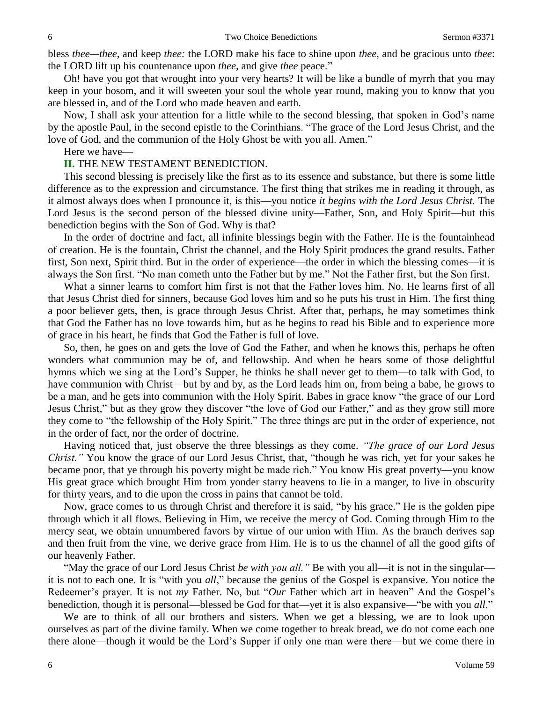bless *thee—thee,* and keep *thee:* the LORD make his face to shine upon *thee,* and be gracious unto *thee*: the LORD lift up his countenance upon *thee,* and give *thee* peace."

Oh! have you got that wrought into your very hearts? It will be like a bundle of myrrh that you may keep in your bosom, and it will sweeten your soul the whole year round, making you to know that you are blessed in, and of the Lord who made heaven and earth.

Now, I shall ask your attention for a little while to the second blessing, that spoken in God's name by the apostle Paul, in the second epistle to the Corinthians. "The grace of the Lord Jesus Christ, and the love of God, and the communion of the Holy Ghost be with you all. Amen."

#### Here we have—

#### **II.** THE NEW TESTAMENT BENEDICTION.

This second blessing is precisely like the first as to its essence and substance, but there is some little difference as to the expression and circumstance. The first thing that strikes me in reading it through, as it almost always does when I pronounce it, is this—you notice *it begins with the Lord Jesus Christ.* The Lord Jesus is the second person of the blessed divine unity—Father, Son, and Holy Spirit—but this benediction begins with the Son of God. Why is that?

In the order of doctrine and fact, all infinite blessings begin with the Father. He is the fountainhead of creation. He is the fountain, Christ the channel, and the Holy Spirit produces the grand results. Father first, Son next, Spirit third. But in the order of experience—the order in which the blessing comes—it is always the Son first. "No man cometh unto the Father but by me." Not the Father first, but the Son first.

What a sinner learns to comfort him first is not that the Father loves him. No. He learns first of all that Jesus Christ died for sinners, because God loves him and so he puts his trust in Him. The first thing a poor believer gets, then, is grace through Jesus Christ. After that, perhaps, he may sometimes think that God the Father has no love towards him, but as he begins to read his Bible and to experience more of grace in his heart, he finds that God the Father is full of love.

So, then, he goes on and gets the love of God the Father, and when he knows this, perhaps he often wonders what communion may be of, and fellowship. And when he hears some of those delightful hymns which we sing at the Lord's Supper, he thinks he shall never get to them—to talk with God, to have communion with Christ—but by and by, as the Lord leads him on, from being a babe, he grows to be a man, and he gets into communion with the Holy Spirit. Babes in grace know "the grace of our Lord Jesus Christ," but as they grow they discover "the love of God our Father," and as they grow still more they come to "the fellowship of the Holy Spirit." The three things are put in the order of experience, not in the order of fact, nor the order of doctrine.

Having noticed that, just observe the three blessings as they come. *"The grace of our Lord Jesus Christ."* You know the grace of our Lord Jesus Christ, that, "though he was rich, yet for your sakes he became poor, that ye through his poverty might be made rich." You know His great poverty—you know His great grace which brought Him from yonder starry heavens to lie in a manger, to live in obscurity for thirty years, and to die upon the cross in pains that cannot be told.

Now, grace comes to us through Christ and therefore it is said, "by his grace." He is the golden pipe through which it all flows. Believing in Him, we receive the mercy of God. Coming through Him to the mercy seat, we obtain unnumbered favors by virtue of our union with Him. As the branch derives sap and then fruit from the vine, we derive grace from Him. He is to us the channel of all the good gifts of our heavenly Father.

"May the grace of our Lord Jesus Christ *be with you all."* Be with you all—it is not in the singular it is not to each one. It is "with you *all*," because the genius of the Gospel is expansive. You notice the Redeemer's prayer. It is not *my* Father. No, but "*Our* Father which art in heaven" And the Gospel's benediction, though it is personal—blessed be God for that—yet it is also expansive—"be with you *all*."

We are to think of all our brothers and sisters. When we get a blessing, we are to look upon ourselves as part of the divine family. When we come together to break bread, we do not come each one there alone—though it would be the Lord's Supper if only one man were there—but we come there in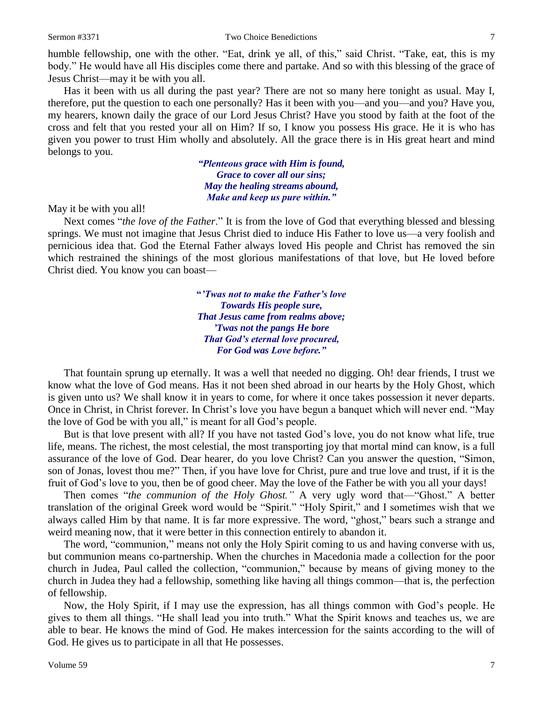humble fellowship, one with the other. "Eat, drink ye all, of this," said Christ. "Take, eat, this is my body." He would have all His disciples come there and partake. And so with this blessing of the grace of Jesus Christ—may it be with you all.

Has it been with us all during the past year? There are not so many here tonight as usual. May I, therefore, put the question to each one personally? Has it been with you—and you—and you? Have you, my hearers, known daily the grace of our Lord Jesus Christ? Have you stood by faith at the foot of the cross and felt that you rested your all on Him? If so, I know you possess His grace. He it is who has given you power to trust Him wholly and absolutely. All the grace there is in His great heart and mind belongs to you.

> *"Plenteous grace with Him is found, Grace to cover all our sins; May the healing streams abound, Make and keep us pure within."*

May it be with you all!

Next comes "*the love of the Father*." It is from the love of God that everything blessed and blessing springs. We must not imagine that Jesus Christ died to induce His Father to love us—a very foolish and pernicious idea that. God the Eternal Father always loved His people and Christ has removed the sin which restrained the shinings of the most glorious manifestations of that love, but He loved before Christ died. You know you can boast—

> **"***'Twas not to make the Father's love Towards His people sure, That Jesus came from realms above; 'Twas not the pangs He bore That God's eternal love procured, For God was Love before."*

That fountain sprung up eternally. It was a well that needed no digging. Oh! dear friends, I trust we know what the love of God means. Has it not been shed abroad in our hearts by the Holy Ghost, which is given unto us? We shall know it in years to come, for where it once takes possession it never departs. Once in Christ, in Christ forever. In Christ's love you have begun a banquet which will never end. "May the love of God be with you all," is meant for all God's people.

But is that love present with all? If you have not tasted God's love, you do not know what life, true life, means. The richest, the most celestial, the most transporting joy that mortal mind can know, is a full assurance of the love of God. Dear hearer, do you love Christ? Can you answer the question, "Simon, son of Jonas, lovest thou me?" Then, if you have love for Christ, pure and true love and trust, if it is the fruit of God's love to you, then be of good cheer. May the love of the Father be with you all your days!

Then comes "*the communion of the Holy Ghost."* A very ugly word that—"Ghost." A better translation of the original Greek word would be "Spirit." "Holy Spirit," and I sometimes wish that we always called Him by that name. It is far more expressive. The word, "ghost," bears such a strange and weird meaning now, that it were better in this connection entirely to abandon it.

The word, "communion," means not only the Holy Spirit coming to us and having converse with us, but communion means co-partnership. When the churches in Macedonia made a collection for the poor church in Judea, Paul called the collection, "communion," because by means of giving money to the church in Judea they had a fellowship, something like having all things common—that is, the perfection of fellowship.

Now, the Holy Spirit, if I may use the expression, has all things common with God's people. He gives to them all things. "He shall lead you into truth." What the Spirit knows and teaches us, we are able to bear. He knows the mind of God. He makes intercession for the saints according to the will of God. He gives us to participate in all that He possesses.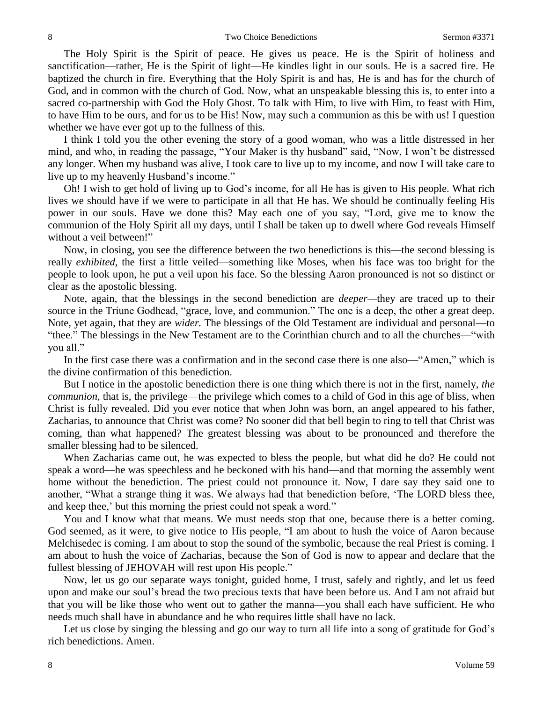The Holy Spirit is the Spirit of peace. He gives us peace. He is the Spirit of holiness and sanctification—rather, He is the Spirit of light—He kindles light in our souls. He is a sacred fire. He baptized the church in fire. Everything that the Holy Spirit is and has, He is and has for the church of God, and in common with the church of God. Now, what an unspeakable blessing this is, to enter into a sacred co-partnership with God the Holy Ghost. To talk with Him, to live with Him, to feast with Him, to have Him to be ours, and for us to be His! Now, may such a communion as this be with us! I question whether we have ever got up to the fullness of this.

I think I told you the other evening the story of a good woman, who was a little distressed in her mind, and who, in reading the passage, "Your Maker is thy husband" said, "Now, I won't be distressed any longer. When my husband was alive, I took care to live up to my income, and now I will take care to live up to my heavenly Husband's income."

Oh! I wish to get hold of living up to God's income, for all He has is given to His people. What rich lives we should have if we were to participate in all that He has. We should be continually feeling His power in our souls. Have we done this? May each one of you say, "Lord, give me to know the communion of the Holy Spirit all my days, until I shall be taken up to dwell where God reveals Himself without a veil between!"

Now, in closing, you see the difference between the two benedictions is this—the second blessing is really *exhibited,* the first a little veiled—something like Moses, when his face was too bright for the people to look upon, he put a veil upon his face. So the blessing Aaron pronounced is not so distinct or clear as the apostolic blessing.

Note, again, that the blessings in the second benediction are *deeper—*they are traced up to their source in the Triune Godhead, "grace, love, and communion." The one is a deep, the other a great deep. Note, yet again, that they are *wider.* The blessings of the Old Testament are individual and personal—to "thee." The blessings in the New Testament are to the Corinthian church and to all the churches—"with you all."

In the first case there was a confirmation and in the second case there is one also—"Amen," which is the divine confirmation of this benediction.

But I notice in the apostolic benediction there is one thing which there is not in the first, namely, *the communion*, that is, the privilege—the privilege which comes to a child of God in this age of bliss, when Christ is fully revealed. Did you ever notice that when John was born, an angel appeared to his father, Zacharias, to announce that Christ was come? No sooner did that bell begin to ring to tell that Christ was coming, than what happened? The greatest blessing was about to be pronounced and therefore the smaller blessing had to be silenced.

When Zacharias came out, he was expected to bless the people, but what did he do? He could not speak a word—he was speechless and he beckoned with his hand—and that morning the assembly went home without the benediction. The priest could not pronounce it. Now, I dare say they said one to another, "What a strange thing it was. We always had that benediction before, 'The LORD bless thee, and keep thee,' but this morning the priest could not speak a word."

You and I know what that means. We must needs stop that one, because there is a better coming. God seemed, as it were, to give notice to His people, "I am about to hush the voice of Aaron because Melchisedec is coming. I am about to stop the sound of the symbolic, because the real Priest is coming. I am about to hush the voice of Zacharias, because the Son of God is now to appear and declare that the fullest blessing of JEHOVAH will rest upon His people."

Now, let us go our separate ways tonight, guided home, I trust, safely and rightly, and let us feed upon and make our soul's bread the two precious texts that have been before us. And I am not afraid but that you will be like those who went out to gather the manna—you shall each have sufficient. He who needs much shall have in abundance and he who requires little shall have no lack.

Let us close by singing the blessing and go our way to turn all life into a song of gratitude for God's rich benedictions. Amen.